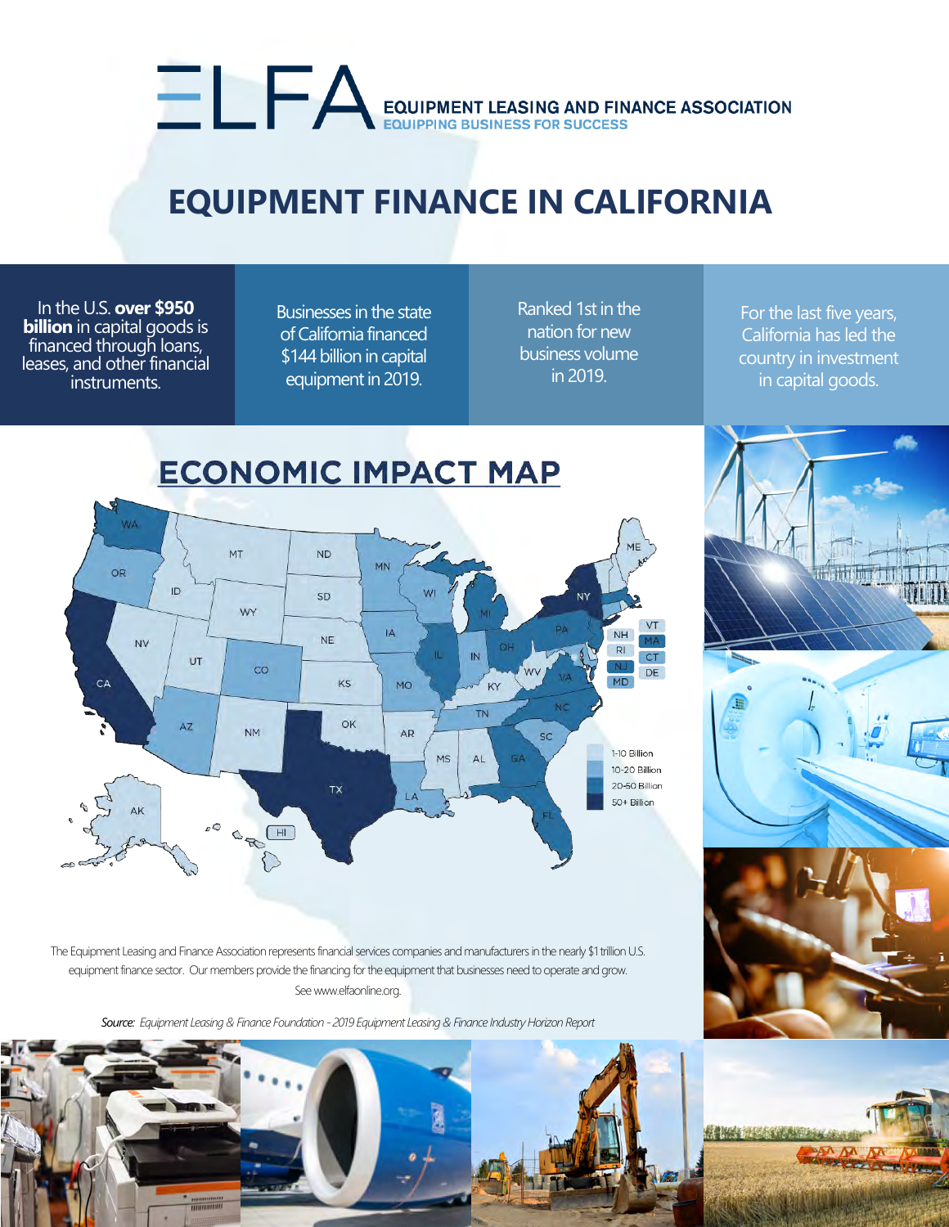# EQUIPMENT LEASING AND FINANCE ASSOCIATION

## **EQUIPMENT FINANCE IN CALIFORNIA**

In the U.S. **over \$950 billion** in capital goods is financed through loans, leases, and other financial instruments.

Businesses in the state of California financed \$144 billion in capital equipment in 2019.

Ranked 1st in the nation for new business volume in 2019.

For the last five years, California has led the country in investment in capital goods.

**The Tribine of B** 

#### **ECONOMIC IMPACT MAP NA** MT **ND** MN OR  $ID$ WI SD **NY** WY VT **IA** NH **NE** MA **NV**  $R$  $\overline{N}$ **CT** UT  $co$ DE **MD** KS CA **MO TN** OK  $A\overline{Z}$ **NM AR** 1-10 Billion **MS**  $\Delta$  $\subseteq \Delta$ 10-20 Billion 20-50 Billion TX 50+ Billion  $\circ$ OBO

The Equipment Leasing and Finance Association represents financial services companies and manufacturers in the nearly \$1 trillion U.S. equipment finance sector. Our members provide the financing for the equipment that businesses need to operate and grow. See www.elfaonline.org.

*Source: Equipment Leasing & Finance Foundation - 2019 Equipment Leasing & Finance Industry Horizon Report*